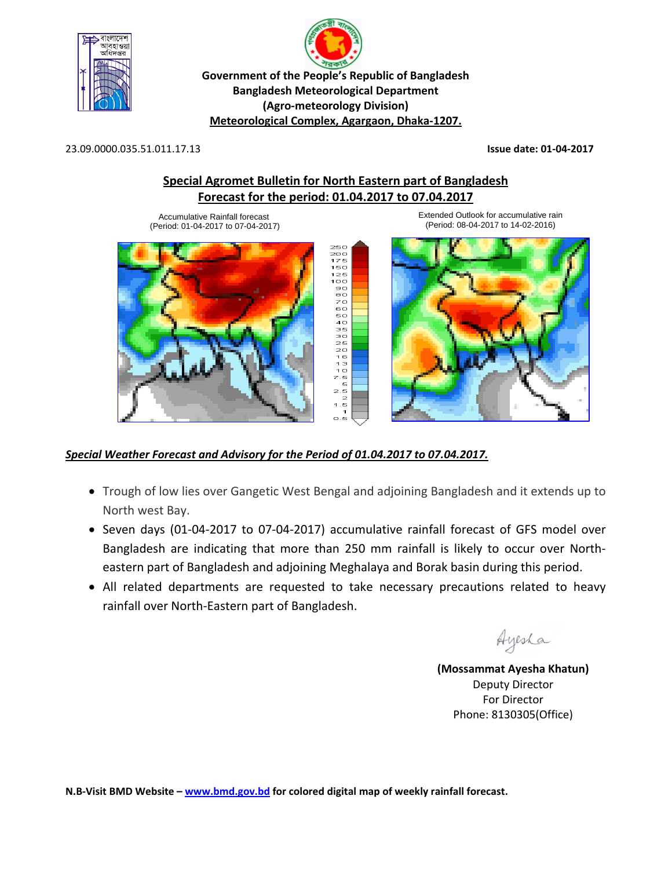

p **Government of the People's Republic of Bangladesh Bangladesh Meteorological Department (Agro‐meteorology Division) Meteorological Complex, Agargaon, Dhaka‐1207.**

23.09.0000.035.51.011.17.13 **Issue date: 01‐04‐2017**

## **Special Agromet Bulletin for North Eastern part of Bangladesh Forecast for the period: 01.04.2017 to 07.04.2017**

 $125$  $100$  $90$ <br> $80$ <br> $70$ 60 50<br>50<br>50<br>35<br>30

 $25$ <br> $20$ <br> $16$ 13<br>10 z.š 5  $2.5$  $-2$ <br>1.5<br>1.5<br>0.5  $0.5$ 

Accumulative Rainfall forecast (Period: 01-04-2017 to 07-04-2017)







## *Special Weather Forecast and Advisory for the Period of 01.04.2017 to 07.04.2017.*

- Trough of low lies over Gangetic West Bengal and adjoining Bangladesh and it extends up to North west Bay.
- Seven days (01-04-2017 to 07-04-2017) accumulative rainfall forecast of GFS model over Bangladesh are indicating that more than 250 mm rainfall is likely to occur over North‐ eastern part of Bangladesh and adjoining Meghalaya and Borak basin during this period.
- All related departments are requested to take necessary precautions related to heavy rainfall over North‐Eastern part of Bangladesh.

Ayesha

**(Mossammat Ayesha Khatun)** Deputy Director For Director Phone: 8130305(Office)